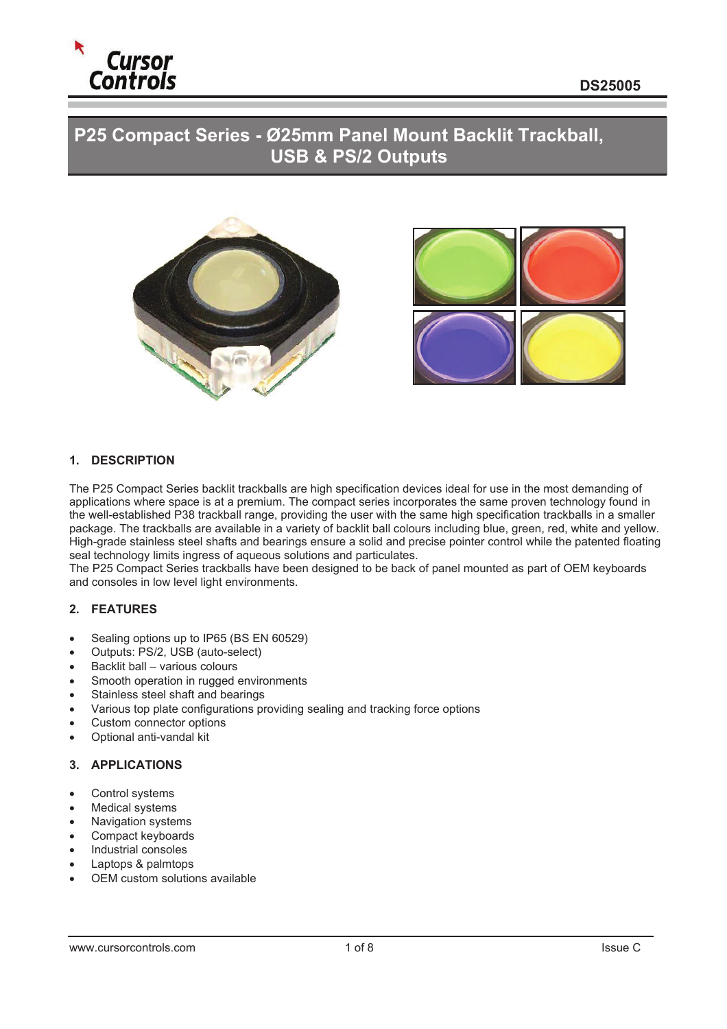

# **P25 Compact Series - Ø25mm Panel Mount Backlit Trackball, USB & PS/2 Outputs**





#### **1. DESCRIPTION**

The P25 Compact Series backlit trackballs are high specification devices ideal for use in the most demanding of applications where space is at a premium. The compact series incorporates the same proven technology found in the well-established P38 trackball range, providing the user with the same high specification trackballs in a smaller package. The trackballs are available in a variety of backlit ball colours including blue, green, red, white and yellow. High-grade stainless steel shafts and bearings ensure a solid and precise pointer control while the patented floating seal technology limits ingress of aqueous solutions and particulates.

The P25 Compact Series trackballs have been designed to be back of panel mounted as part of OEM keyboards and consoles in low level light environments.

#### **2. FEATURES**

- Sealing options up to IP65 (BS EN 60529)
- Outputs: PS/2, USB (auto-select)
- $\bullet$  Backlit ball various colours
- Smooth operation in rugged environments
- Stainless steel shaft and bearings
- Various top plate configurations providing sealing and tracking force options
- Custom connector options
- Optional anti-vandal kit

### **3. APPLICATIONS**

- Control systems
- **Medical systems**
- Navigation systems
- Compact keyboards
- Industrial consoles
- Laptops & palmtops
- OEM custom solutions available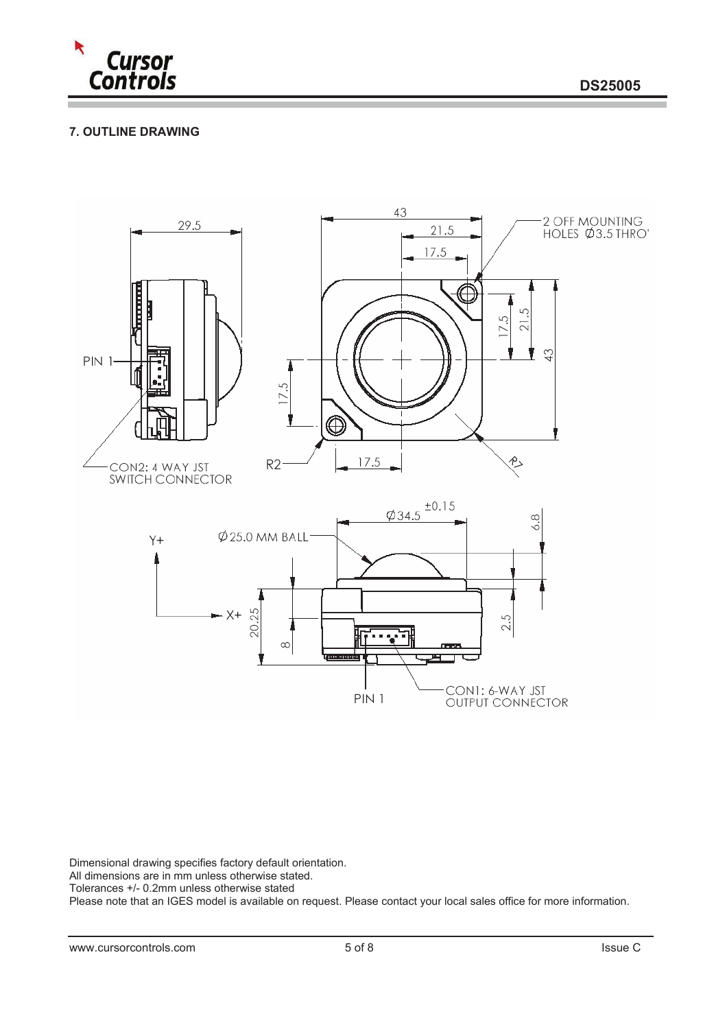

# **7. OUTLINE DRAWING**



Dimensional drawing specifies factory default orientation.

All dimensions are in mm unless otherwise stated.

Tolerances +/- 0.2mm unless otherwise stated

Please note that an IGES model is available on request. Please contact your local sales office for more information.